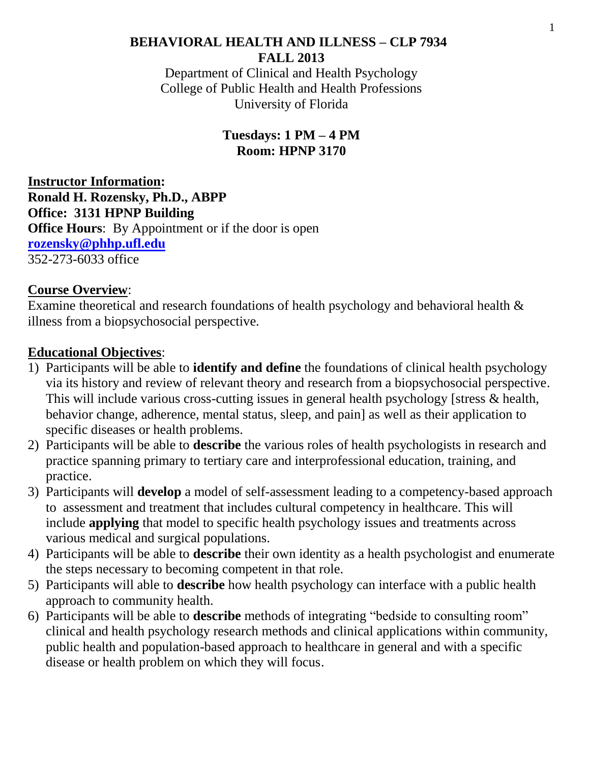## **BEHAVIORAL HEALTH AND ILLNESS – CLP 7934 FALL 2013**

Department of Clinical and Health Psychology College of Public Health and Health Professions University of Florida

## **Tuesdays: 1 PM – 4 PM Room: HPNP 3170**

**Instructor Information: Ronald H. Rozensky, Ph.D., ABPP Office: 3131 HPNP Building Office Hours:** By Appointment or if the door is open **[rozensky@phhp.ufl.edu](mailto:rozensky@phhp.ufl.edu)**  352-273-6033 office

## **Course Overview**:

Examine theoretical and research foundations of health psychology and behavioral health & illness from a biopsychosocial perspective.

## **Educational Objectives**:

- 1) Participants will be able to **identify and define** the foundations of clinical health psychology via its history and review of relevant theory and research from a biopsychosocial perspective. This will include various cross-cutting issues in general health psychology [stress & health, behavior change, adherence, mental status, sleep, and pain] as well as their application to specific diseases or health problems.
- 2) Participants will be able to **describe** the various roles of health psychologists in research and practice spanning primary to tertiary care and interprofessional education, training, and practice.
- 3) Participants will **develop** a model of self-assessment leading to a competency-based approach to assessment and treatment that includes cultural competency in healthcare. This will include **applying** that model to specific health psychology issues and treatments across various medical and surgical populations.
- 4) Participants will be able to **describe** their own identity as a health psychologist and enumerate the steps necessary to becoming competent in that role.
- 5) Participants will able to **describe** how health psychology can interface with a public health approach to community health.
- 6) Participants will be able to **describe** methods of integrating "bedside to consulting room" clinical and health psychology research methods and clinical applications within community, public health and population-based approach to healthcare in general and with a specific disease or health problem on which they will focus.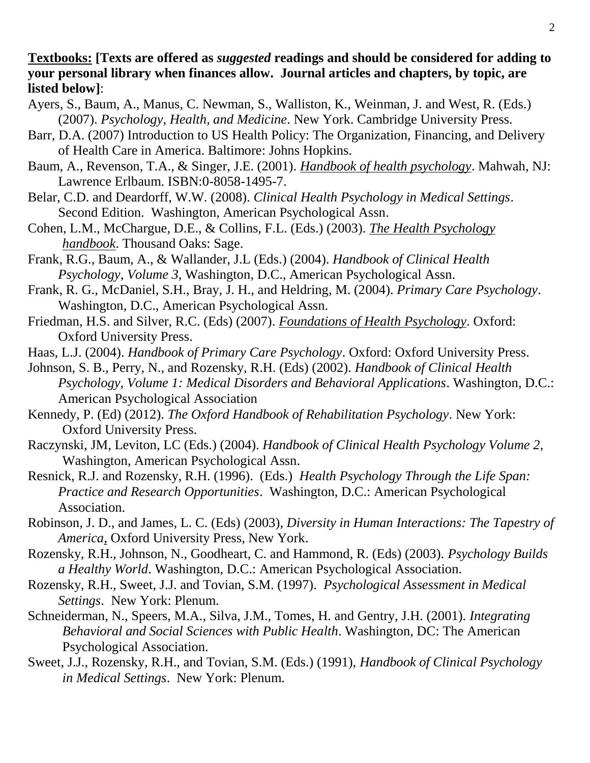### **Textbooks: [Texts are offered as** *suggested* **readings and should be considered for adding to your personal library when finances allow. Journal articles and chapters, by topic, are listed below]**:

- Ayers, S., Baum, A., Manus, C. Newman, S., Walliston, K., Weinman, J. and West, R. (Eds.) (2007). *Psychology, Health, and Medicine*. New York. Cambridge University Press.
- Barr, D.A. (2007) Introduction to US Health Policy: The Organization, Financing, and Delivery of Health Care in America. Baltimore: Johns Hopkins.
- Baum, A., Revenson, T.A., & Singer, J.E. (2001). *Handbook of health psychology*. Mahwah, NJ: Lawrence Erlbaum. ISBN:0-8058-1495-7.
- Belar, C.D. and Deardorff, W.W. (2008). *Clinical Health Psychology in Medical Settings*. Second Edition. Washington, American Psychological Assn.
- Cohen, L.M., McChargue, D.E., & Collins, F.L. (Eds.) (2003). *The Health Psychology handbook*. Thousand Oaks: Sage.
- Frank, R.G., Baum, A., & Wallander, J.L (Eds.) (2004). *Handbook of Clinical Health Psychology*, *Volume 3*, Washington, D.C., American Psychological Assn.
- Frank, R. G., McDaniel, S.H., Bray, J. H., and Heldring, M. (2004). *Primary Care Psychology*. Washington, D.C., American Psychological Assn.
- Friedman, H.S. and Silver, R.C. (Eds) (2007). *Foundations of Health Psychology*. Oxford: Oxford University Press.
- Haas, L.J. (2004). *Handbook of Primary Care Psychology*. Oxford: Oxford University Press.
- Johnson, S. B., Perry, N., and Rozensky, R.H. (Eds) (2002). *Handbook of Clinical Health Psychology, Volume 1: Medical Disorders and Behavioral Applications*. Washington, D.C.: American Psychological Association
- Kennedy, P. (Ed) (2012). *The Oxford Handbook of Rehabilitation Psychology*. New York: Oxford University Press.
- Raczynski, JM, Leviton, LC (Eds.) (2004). *Handbook of Clinical Health Psychology Volume 2*, Washington, American Psychological Assn.
- Resnick, R.J. and Rozensky, R.H. (1996). (Eds.) *Health Psychology Through the Life Span: Practice and Research Opportunities*. Washington, D.C.: American Psychological Association.
- Robinson, J. D., and James, L. C. (Eds) (2003), *Diversity in Human Interactions: The Tapestry of America*, Oxford University Press, New York.
- Rozensky, R.H., Johnson, N., Goodheart, C. and Hammond, R. (Eds) (2003). *Psychology Builds a Healthy World*. Washington, D.C.: American Psychological Association.
- Rozensky, R.H., Sweet, J.J. and Tovian, S.M. (1997). *Psychological Assessment in Medical Settings*. New York: Plenum.
- Schneiderman, N., Speers, M.A., Silva, J.M., Tomes, H. and Gentry, J.H. (2001). *Integrating Behavioral and Social Sciences with Public Health*. Washington, DC: The American Psychological Association.
- Sweet, J.J., Rozensky, R.H., and Tovian, S.M. (Eds.) (1991), *Handbook of Clinical Psychology in Medical Settings*. New York: Plenum.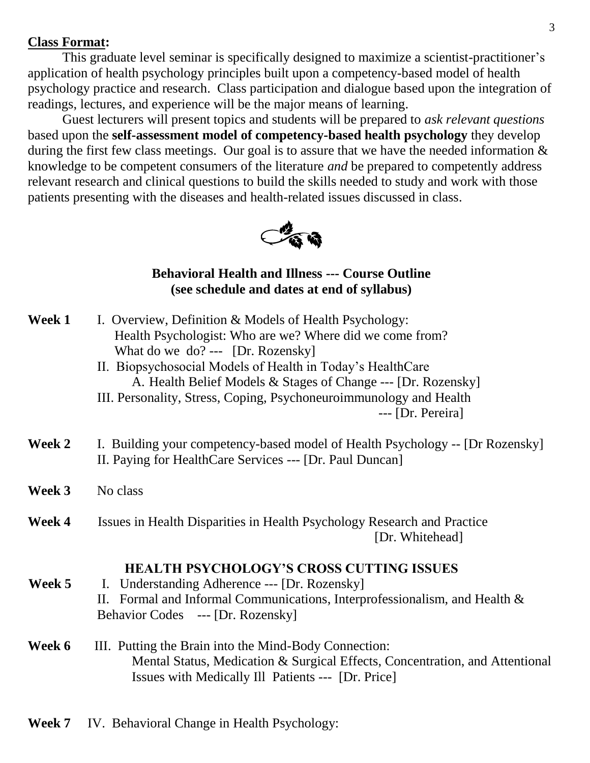#### **Class Format:**

This graduate level seminar is specifically designed to maximize a scientist-practitioner's application of health psychology principles built upon a competency-based model of health psychology practice and research. Class participation and dialogue based upon the integration of readings, lectures, and experience will be the major means of learning.

Guest lecturers will present topics and students will be prepared to *ask relevant questions* based upon the **self-assessment model of competency-based health psychology** they develop during the first few class meetings. Our goal is to assure that we have the needed information  $\&$ knowledge to be competent consumers of the literature *and* be prepared to competently address relevant research and clinical questions to build the skills needed to study and work with those patients presenting with the diseases and health-related issues discussed in class.



#### **Behavioral Health and Illness --- Course Outline (see schedule and dates at end of syllabus)**

- **Week 1** I. Overview, Definition & Models of Health Psychology: Health Psychologist: Who are we? Where did we come from? What do we do? --- [Dr. Rozensky]
	- II. Biopsychosocial Models of Health in Today's HealthCare A. Health Belief Models & Stages of Change --- [Dr. Rozensky]
	- III. Personality, Stress, Coping, Psychoneuroimmunology and Health

--- [Dr. Pereira]

- **Week 2** I. Building your competency-based model of Health Psychology -- [Dr Rozensky] II. Paying for HealthCare Services --- [Dr. Paul Duncan]
- **Week 3** No class
- **Week 4** Issues in Health Disparities in Health Psychology Research and Practice [Dr. Whitehead]

#### **HEALTH PSYCHOLOGY'S CROSS CUTTING ISSUES**

- **Week 5** I. Understanding Adherence --- [Dr. Rozensky] II. Formal and Informal Communications, Interprofessionalism, and Health & Behavior Codes --- [Dr. Rozensky]
- Week 6 III. Putting the Brain into the Mind-Body Connection: Mental Status, Medication & Surgical Effects, Concentration, and Attentional Issues with Medically Ill Patients --- [Dr. Price]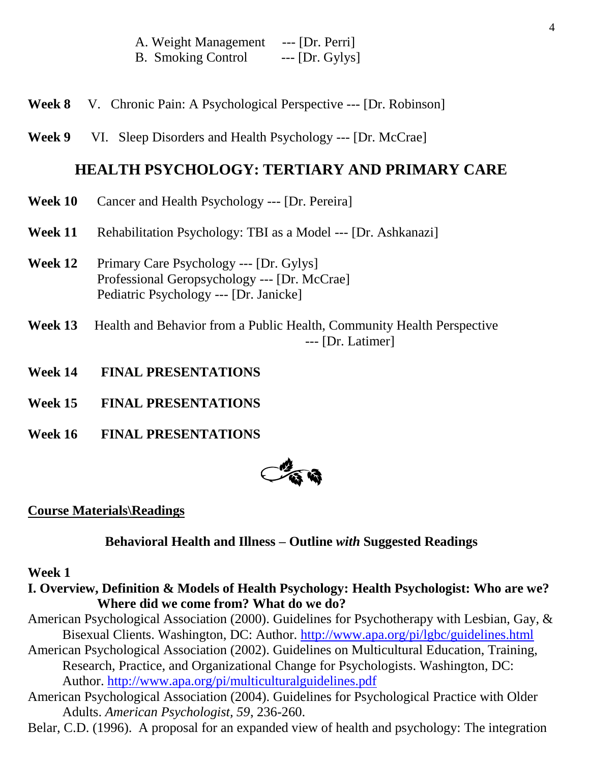| A. Weight Management      | $---$ [Dr. Perri] |
|---------------------------|-------------------|
| <b>B.</b> Smoking Control | $--$ [Dr. Gylys]  |

- **Week 8** V. Chronic Pain: A Psychological Perspective --- [Dr. Robinson]
- **Week 9** VI. Sleep Disorders and Health Psychology --- [Dr. McCrae]

### **HEALTH PSYCHOLOGY: TERTIARY AND PRIMARY CARE**

- **Week 10** Cancer and Health Psychology --- [Dr. Pereira]
- **Week 11** Rehabilitation Psychology: TBI as a Model --- [Dr. Ashkanazi]
- **Week 12** Primary Care Psychology --- [Dr. Gylys] Professional Geropsychology --- [Dr. McCrae] Pediatric Psychology --- [Dr. Janicke]
- **Week 13** Health and Behavior from a Public Health, Community Health Perspective --- [Dr. Latimer]
- **Week 14 FINAL PRESENTATIONS**
- **Week 15 FINAL PRESENTATIONS**
- **Week 16 FINAL PRESENTATIONS**



#### **Course Materials\Readings**

#### **Behavioral Health and Illness – Outline** *with* **Suggested Readings**

#### **Week 1**

- **I. Overview, Definition & Models of Health Psychology: Health Psychologist: Who are we? Where did we come from? What do we do?**
- American Psychological Association (2000). Guidelines for Psychotherapy with Lesbian, Gay, & Bisexual Clients. Washington, DC: Author. <http://www.apa.org/pi/lgbc/guidelines.html>
- American Psychological Association (2002). Guidelines on Multicultural Education, Training, Research, Practice, and Organizational Change for Psychologists. Washington, DC: Author.<http://www.apa.org/pi/multiculturalguidelines.pdf>
- American Psychological Association (2004). Guidelines for Psychological Practice with Older Adults. *American Psychologist, 59*, 236-260.
- Belar, C.D. (1996). A proposal for an expanded view of health and psychology: The integration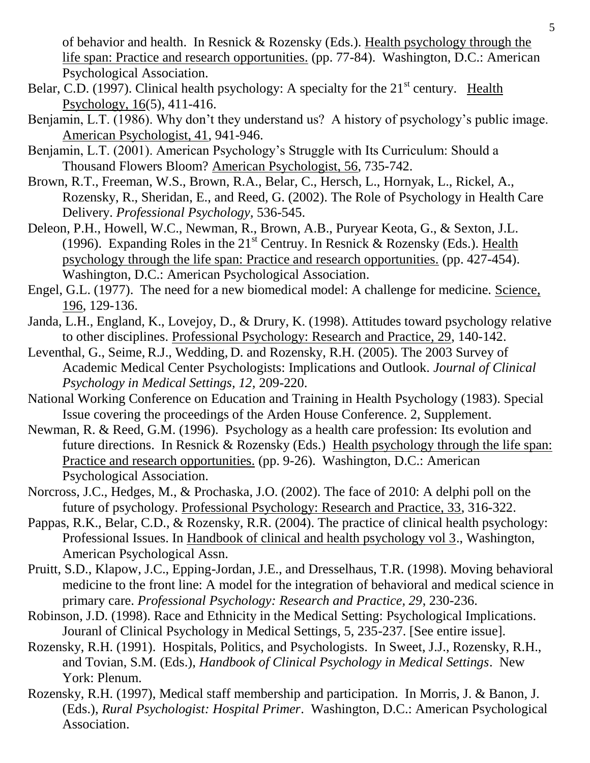of behavior and health. In Resnick & Rozensky (Eds.). Health psychology through the life span: Practice and research opportunities. (pp. 77-84). Washington, D.C.: American Psychological Association.

- Belar, C.D. (1997). Clinical health psychology: A specialty for the  $21<sup>st</sup>$  century. Health Psychology, 16(5), 411-416.
- Benjamin, L.T. (1986). Why don't they understand us? A history of psychology's public image. American Psychologist, 41, 941-946.
- Benjamin, L.T. (2001). American Psychology's Struggle with Its Curriculum: Should a Thousand Flowers Bloom? American Psychologist, 56, 735-742.
- Brown, R.T., Freeman, W.S., Brown, R.A., Belar, C., Hersch, L., Hornyak, L., Rickel, A., Rozensky, R., Sheridan, E., and Reed, G. (2002). The Role of Psychology in Health Care Delivery. *Professional Psychology,* 536-545.
- Deleon, P.H., Howell, W.C., Newman, R., Brown, A.B., Puryear Keota, G., & Sexton, J.L. (1996). Expanding Roles in the  $21<sup>st</sup>$  Centruy. In Resnick & Rozensky (Eds.). Health psychology through the life span: Practice and research opportunities. (pp. 427-454). Washington, D.C.: American Psychological Association.
- Engel, G.L. (1977). The need for a new biomedical model: A challenge for medicine. Science, 196, 129-136.
- Janda, L.H., England, K., Lovejoy, D., & Drury, K. (1998). Attitudes toward psychology relative to other disciplines. Professional Psychology: Research and Practice, 29, 140-142.
- Leventhal, G., Seime, R.J., Wedding, D. and Rozensky, R.H. (2005). The 2003 Survey of Academic Medical Center Psychologists: Implications and Outlook. *Journal of Clinical Psychology in Medical Settings, 12,* 209-220.
- National Working Conference on Education and Training in Health Psychology (1983). Special Issue covering the proceedings of the Arden House Conference. 2, Supplement.
- Newman, R. & Reed, G.M. (1996). Psychology as a health care profession: Its evolution and future directions. In Resnick & Rozensky (Eds.) Health psychology through the life span: Practice and research opportunities. (pp. 9-26). Washington, D.C.: American Psychological Association.
- Norcross, J.C., Hedges, M., & Prochaska, J.O. (2002). The face of 2010: A delphi poll on the future of psychology. Professional Psychology: Research and Practice, 33, 316-322.
- Pappas, R.K., Belar, C.D., & Rozensky, R.R. (2004). The practice of clinical health psychology: Professional Issues. In Handbook of clinical and health psychology vol 3., Washington, American Psychological Assn.
- Pruitt, S.D., Klapow, J.C., Epping-Jordan, J.E., and Dresselhaus, T.R. (1998). Moving behavioral medicine to the front line: A model for the integration of behavioral and medical science in primary care. *Professional Psychology: Research and Practice, 29*, 230-236.
- Robinson, J.D. (1998). Race and Ethnicity in the Medical Setting: Psychological Implications. Jouranl of Clinical Psychology in Medical Settings, 5, 235-237. [See entire issue].
- Rozensky, R.H. (1991). Hospitals, Politics, and Psychologists. In Sweet, J.J., Rozensky, R.H., and Tovian, S.M. (Eds.), *Handbook of Clinical Psychology in Medical Settings*. New York: Plenum.
- Rozensky, R.H. (1997), Medical staff membership and participation. In Morris, J. & Banon, J. (Eds.), *Rural Psychologist: Hospital Primer*. Washington, D.C.: American Psychological Association.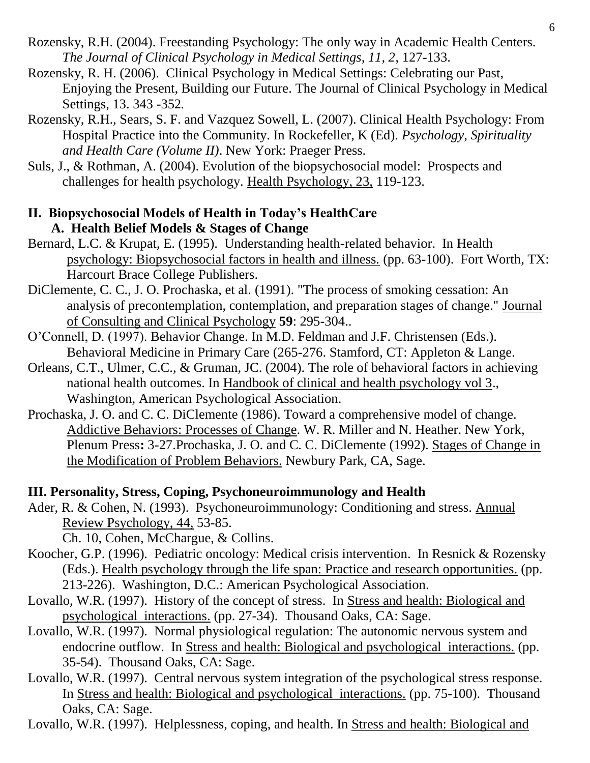- Rozensky, R.H. (2004). Freestanding Psychology: The only way in Academic Health Centers. *The Journal of Clinical Psychology in Medical Settings, 11, 2*, 127-133.
- Rozensky, R. H. (2006). Clinical Psychology in Medical Settings: Celebrating our Past, Enjoying the Present, Building our Future. The Journal of Clinical Psychology in Medical Settings, 13. 343 -352*.*
- Rozensky, R.H., Sears, S. F. and Vazquez Sowell, L. (2007). Clinical Health Psychology: From Hospital Practice into the Community. In Rockefeller, K (Ed). *Psychology, Spirituality and Health Care (Volume II)*. New York: Praeger Press.
- Suls, J., & Rothman, A. (2004). Evolution of the biopsychosocial model: Prospects and challenges for health psychology. Health Psychology, 23, 119-123.

## **II. Biopsychosocial Models of Health in Today's HealthCare A. Health Belief Models & Stages of Change**

- Bernard, L.C. & Krupat, E. (1995). Understanding health-related behavior. In Health psychology: Biopsychosocial factors in health and illness. (pp. 63-100). Fort Worth, TX: Harcourt Brace College Publishers.
- DiClemente, C. C., J. O. Prochaska, et al. (1991). "The process of smoking cessation: An analysis of precontemplation, contemplation, and preparation stages of change." Journal of Consulting and Clinical Psychology **59**: 295-304..
- O'Connell, D. (1997). Behavior Change. In M.D. Feldman and J.F. Christensen (Eds.). Behavioral Medicine in Primary Care (265-276. Stamford, CT: Appleton & Lange.
- Orleans, C.T., Ulmer, C.C., & Gruman, JC. (2004). The role of behavioral factors in achieving national health outcomes. In Handbook of clinical and health psychology vol 3., Washington, American Psychological Association.
- Prochaska, J. O. and C. C. DiClemente (1986). Toward a comprehensive model of change. Addictive Behaviors: Processes of Change. W. R. Miller and N. Heather. New York, Plenum Press**:** 3-27.Prochaska, J. O. and C. C. DiClemente (1992). Stages of Change in the Modification of Problem Behaviors. Newbury Park, CA, Sage.

# **III. Personality, Stress, Coping, Psychoneuroimmunology and Health**

Ader, R. & Cohen, N. (1993). Psychoneuroimmunology: Conditioning and stress. Annual Review Psychology, 44, 53-85.

Ch. 10, Cohen, McChargue, & Collins.

- Koocher, G.P. (1996). Pediatric oncology: Medical crisis intervention. In Resnick & Rozensky (Eds.). Health psychology through the life span: Practice and research opportunities. (pp. 213-226). Washington, D.C.: American Psychological Association.
- Lovallo, W.R. (1997). History of the concept of stress. In Stress and health: Biological and psychological interactions. (pp. 27-34). Thousand Oaks, CA: Sage.
- Lovallo, W.R. (1997). Normal physiological regulation: The autonomic nervous system and endocrine outflow. In Stress and health: Biological and psychological interactions. (pp. 35-54). Thousand Oaks, CA: Sage.
- Lovallo, W.R. (1997). Central nervous system integration of the psychological stress response. In Stress and health: Biological and psychological interactions. (pp. 75-100). Thousand Oaks, CA: Sage.

Lovallo, W.R. (1997). Helplessness, coping, and health. In Stress and health: Biological and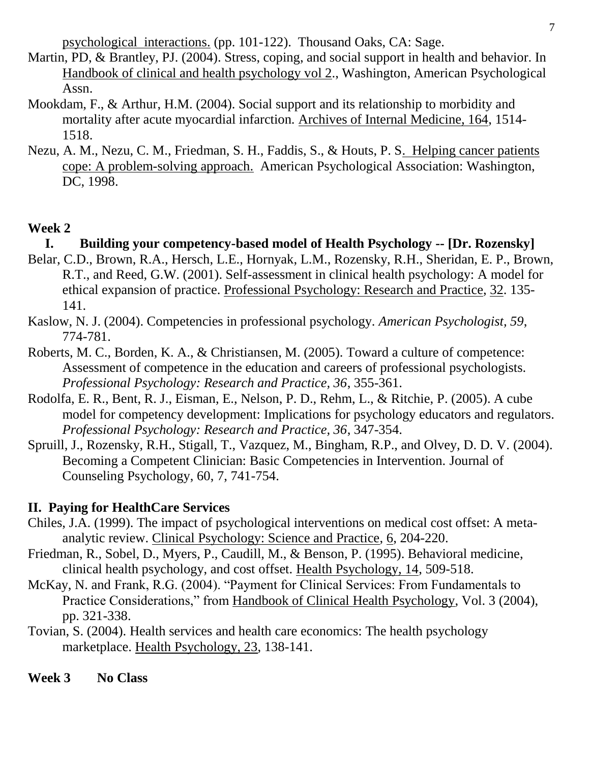psychological interactions. (pp. 101-122). Thousand Oaks, CA: Sage.

- Martin, PD, & Brantley, PJ. (2004). Stress, coping, and social support in health and behavior. In Handbook of clinical and health psychology vol 2., Washington, American Psychological Assn.
- Mookdam, F., & Arthur, H.M. (2004). Social support and its relationship to morbidity and mortality after acute myocardial infarction. Archives of Internal Medicine, 164, 1514- 1518.
- Nezu, A. M., Nezu, C. M., Friedman, S. H., Faddis, S., & Houts, P. S. Helping cancer patients cope: A problem-solving approach. American Psychological Association: Washington, DC, 1998.

## **Week 2**

## **I. Building your competency-based model of Health Psychology -- [Dr. Rozensky]**

- Belar, C.D., Brown, R.A., Hersch, L.E., Hornyak, L.M., Rozensky, R.H., Sheridan, E. P., Brown, R.T., and Reed, G.W. (2001). Self-assessment in clinical health psychology: A model for ethical expansion of practice. Professional Psychology: Research and Practice, 32. 135- 141.
- Kaslow, N. J. (2004). Competencies in professional psychology. *American Psychologist, 59*, 774-781.
- Roberts, M. C., Borden, K. A., & Christiansen, M. (2005). Toward a culture of competence: Assessment of competence in the education and careers of professional psychologists. *Professional Psychology: Research and Practice, 36*, 355-361.
- Rodolfa, E. R., Bent, R. J., Eisman, E., Nelson, P. D., Rehm, L., & Ritchie, P. (2005). A cube model for competency development: Implications for psychology educators and regulators. *Professional Psychology: Research and Practice, 36*, 347-354.
- Spruill, J., Rozensky, R.H., Stigall, T., Vazquez, M., Bingham, R.P., and Olvey, D. D. V. (2004). Becoming a Competent Clinician: Basic Competencies in Intervention. Journal of Counseling Psychology, 60, 7, 741-754.

## **II. Paying for HealthCare Services**

- Chiles, J.A. (1999). The impact of psychological interventions on medical cost offset: A metaanalytic review. Clinical Psychology: Science and Practice, 6, 204-220.
- Friedman, R., Sobel, D., Myers, P., Caudill, M., & Benson, P. (1995). Behavioral medicine, clinical health psychology, and cost offset. Health Psychology, 14, 509-518.
- McKay, N. and Frank, R.G. (2004). "Payment for Clinical Services: From Fundamentals to Practice Considerations," from Handbook of Clinical Health Psychology, Vol. 3 (2004), pp. 321-338.
- Tovian, S. (2004). Health services and health care economics: The health psychology marketplace. Health Psychology, 23, 138-141.

**Week 3 No Class**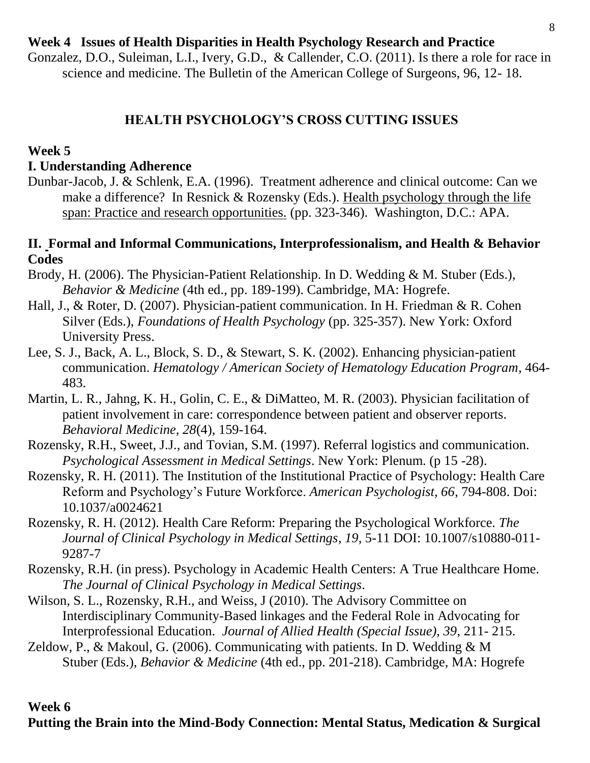## **Week 4 Issues of Health Disparities in Health Psychology Research and Practice**

Gonzalez, D.O., Suleiman, L.I., Ivery, G.D., & Callender, C.O. (2011). Is there a role for race in science and medicine. The Bulletin of the American College of Surgeons, 96, 12- 18.

### **HEALTH PSYCHOLOGY'S CROSS CUTTING ISSUES**

#### **Week 5**

#### **I. Understanding Adherence**

Dunbar-Jacob, J. & Schlenk, E.A. (1996). Treatment adherence and clinical outcome: Can we make a difference? In Resnick & Rozensky (Eds.). Health psychology through the life span: Practice and research opportunities. (pp. 323-346). Washington, D.C.: APA.

### **II. Formal and Informal Communications, Interprofessionalism, and Health & Behavior Codes**

- Brody, H. (2006). The Physician-Patient Relationship. In D. Wedding & M. Stuber (Eds.), *Behavior & Medicine* (4th ed., pp. 189-199). Cambridge, MA: Hogrefe.
- Hall, J., & Roter, D. (2007). Physician-patient communication. In H. Friedman & R. Cohen Silver (Eds.), *Foundations of Health Psychology* (pp. 325-357). New York: Oxford University Press.
- Lee, S. J., Back, A. L., Block, S. D., & Stewart, S. K. (2002). Enhancing physician-patient communication. *Hematology / American Society of Hematology Education Program*, 464- 483.
- Martin, L. R., Jahng, K. H., Golin, C. E., & DiMatteo, M. R. (2003). Physician facilitation of patient involvement in care: correspondence between patient and observer reports. *Behavioral Medicine, 28*(4), 159-164.
- Rozensky, R.H., Sweet, J.J., and Tovian, S.M. (1997). Referral logistics and communication. *Psychological Assessment in Medical Settings*. New York: Plenum. (p 15 -28).
- Rozensky, R. H. (2011). The Institution of the Institutional Practice of Psychology: Health Care Reform and Psychology's Future Workforce. *American Psychologist, 66*, 794-808. Doi: 10.1037/a0024621
- Rozensky, R. H. (2012). Health Care Reform: Preparing the Psychological Workforce. *The Journal of Clinical Psychology in Medical Settings*, *19*, 5-11 DOI: 10.1007/s10880-011- 9287-7
- Rozensky, R.H. (in press). Psychology in Academic Health Centers: A True Healthcare Home. *The Journal of Clinical Psychology in Medical Settings*.
- Wilson, S. L., Rozensky, R.H., and Weiss, J (2010). The Advisory Committee on Interdisciplinary Community-Based linkages and the Federal Role in Advocating for Interprofessional Education. *Journal of Allied Health (Special Issue), 39*, 211- 215.
- Zeldow, P., & Makoul, G. (2006). Communicating with patients. In D. Wedding & M Stuber (Eds.), *Behavior & Medicine* (4th ed., pp. 201-218). Cambridge, MA: Hogrefe

#### **Week 6**

## **Putting the Brain into the Mind-Body Connection: Mental Status, Medication & Surgical**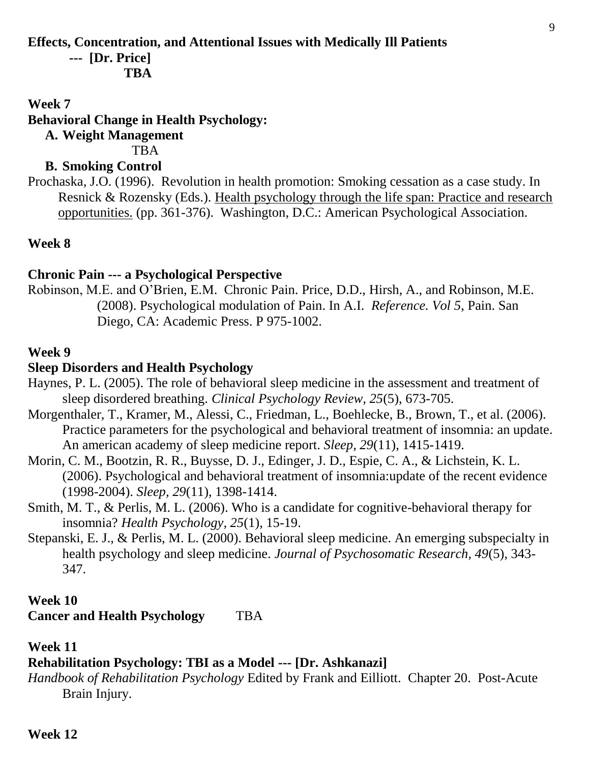### **Effects, Concentration, and Attentional Issues with Medically Ill Patients**

**--- [Dr. Price]**

 **TBA**

### **Week 7**

## **Behavioral Change in Health Psychology:**

**A. Weight Management**

**TBA** 

## **B. Smoking Control**

Prochaska, J.O. (1996). Revolution in health promotion: Smoking cessation as a case study. In Resnick & Rozensky (Eds.). Health psychology through the life span: Practice and research opportunities. (pp. 361-376). Washington, D.C.: American Psychological Association.

## **Week 8**

## **Chronic Pain --- a Psychological Perspective**

Robinson, M.E. and O'Brien, E.M. Chronic Pain. Price, D.D., Hirsh, A., and Robinson, M.E. (2008). Psychological modulation of Pain. In A.I. *Reference. Vol 5*, Pain. San Diego, CA: Academic Press. P 975-1002.

## **Week 9**

## **Sleep Disorders and Health Psychology**

- Haynes, P. L. (2005). The role of behavioral sleep medicine in the assessment and treatment of sleep disordered breathing. *Clinical Psychology Review, 25*(5), 673-705.
- Morgenthaler, T., Kramer, M., Alessi, C., Friedman, L., Boehlecke, B., Brown, T., et al. (2006). Practice parameters for the psychological and behavioral treatment of insomnia: an update. An american academy of sleep medicine report. *Sleep, 29*(11), 1415-1419.
- Morin, C. M., Bootzin, R. R., Buysse, D. J., Edinger, J. D., Espie, C. A., & Lichstein, K. L. (2006). Psychological and behavioral treatment of insomnia:update of the recent evidence (1998-2004). *Sleep, 29*(11), 1398-1414.
- Smith, M. T., & Perlis, M. L. (2006). Who is a candidate for cognitive-behavioral therapy for insomnia? *Health Psychology, 25*(1), 15-19.
- Stepanski, E. J., & Perlis, M. L. (2000). Behavioral sleep medicine. An emerging subspecialty in health psychology and sleep medicine. *Journal of Psychosomatic Research, 49*(5), 343- 347.

## **Week 10**

**Cancer and Health Psychology** TBA

### **Week 11**

## **Rehabilitation Psychology: TBI as a Model --- [Dr. Ashkanazi]**

*Handbook of Rehabilitation Psychology* Edited by Frank and Eilliott. Chapter 20. Post-Acute Brain Injury.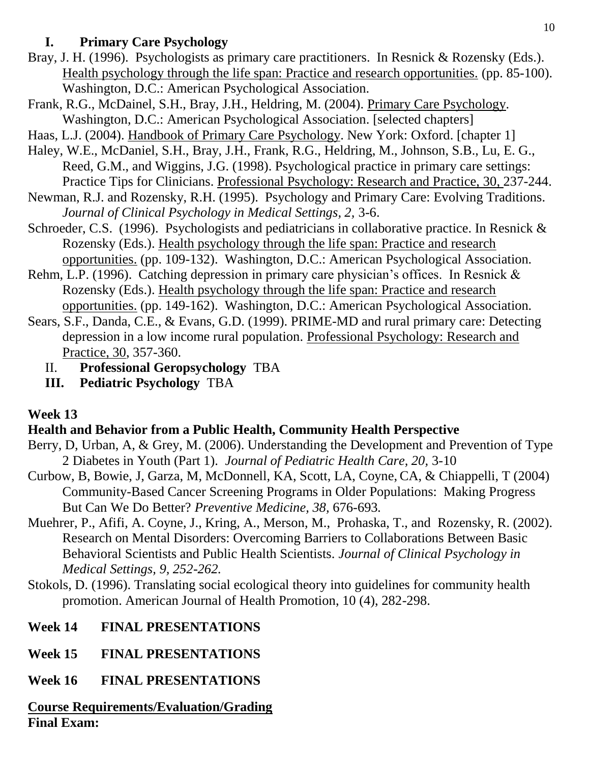# **I. Primary Care Psychology**

- Bray, J. H. (1996). Psychologists as primary care practitioners. In Resnick & Rozensky (Eds.). Health psychology through the life span: Practice and research opportunities. (pp. 85-100). Washington, D.C.: American Psychological Association.
- Frank, R.G., McDainel, S.H., Bray, J.H., Heldring, M. (2004). Primary Care Psychology. Washington, D.C.: American Psychological Association. [selected chapters]
- Haas, L.J. (2004). Handbook of Primary Care Psychology. New York: Oxford. [chapter 1]
- Haley, W.E., McDaniel, S.H., Bray, J.H., Frank, R.G., Heldring, M., Johnson, S.B., Lu, E. G., Reed, G.M., and Wiggins, J.G. (1998). Psychological practice in primary care settings: Practice Tips for Clinicians. Professional Psychology: Research and Practice, 30, 237-244.
- Newman, R.J. and Rozensky, R.H. (1995). Psychology and Primary Care: Evolving Traditions. *Journal of Clinical Psychology in Medical Settings, 2,* 3-6.
- Schroeder, C.S. (1996). Psychologists and pediatricians in collaborative practice. In Resnick & Rozensky (Eds.). Health psychology through the life span: Practice and research opportunities. (pp. 109-132). Washington, D.C.: American Psychological Association.
- Rehm, L.P. (1996). Catching depression in primary care physician's offices. In Resnick & Rozensky (Eds.). Health psychology through the life span: Practice and research opportunities. (pp. 149-162). Washington, D.C.: American Psychological Association.
- Sears, S.F., Danda, C.E., & Evans, G.D. (1999). PRIME-MD and rural primary care: Detecting depression in a low income rural population. Professional Psychology: Research and Practice, 30, 357-360.
	- II. **Professional Geropsychology** TBA
	- **III. Pediatric Psychology** TBA

# **Week 13**

# **Health and Behavior from a Public Health, Community Health Perspective**

- Berry, D, Urban, A, & Grey, M. (2006). Understanding the Development and Prevention of Type 2 Diabetes in Youth (Part 1). *Journal of Pediatric Health Care, 20,* 3-10
- Curbow, B, Bowie, J, Garza, M, McDonnell, KA, Scott, LA, Coyne, CA, & Chiappelli, T (2004) Community-Based Cancer Screening Programs in Older Populations: Making Progress But Can We Do Better? *Preventive Medicine, 38,* 676-693*.*
- Muehrer, P., Afifi, A. Coyne, J., Kring, A., Merson, M., Prohaska, T., and Rozensky, R. (2002). Research on Mental Disorders: Overcoming Barriers to Collaborations Between Basic Behavioral Scientists and Public Health Scientists. *Journal of Clinical Psychology in Medical Settings, 9, 252-262.*
- Stokols, D. (1996). Translating social ecological theory into guidelines for community health promotion. American Journal of Health Promotion, 10 (4), 282-298.

# **Week 14 FINAL PRESENTATIONS**

- **Week 15 FINAL PRESENTATIONS**
- **Week 16 FINAL PRESENTATIONS**

**Course Requirements/Evaluation/Grading Final Exam:**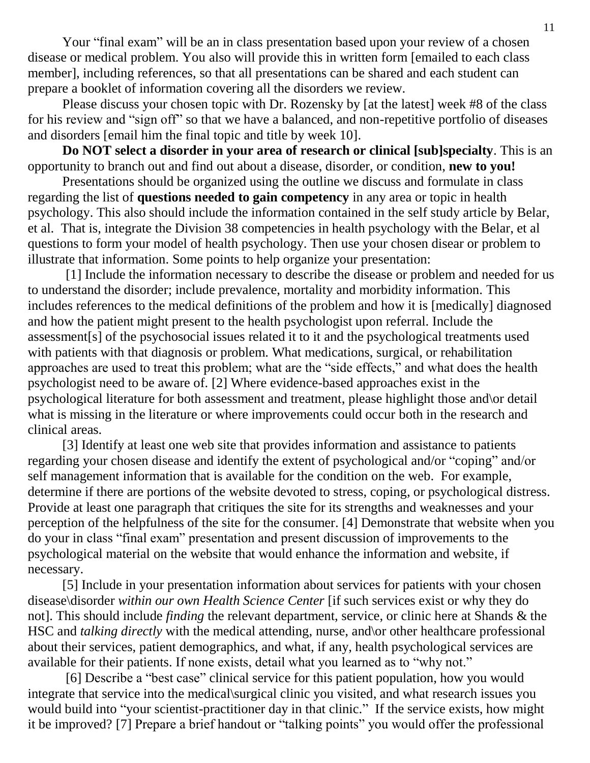Your "final exam" will be an in class presentation based upon your review of a chosen disease or medical problem. You also will provide this in written form [emailed to each class member], including references, so that all presentations can be shared and each student can prepare a booklet of information covering all the disorders we review.

Please discuss your chosen topic with Dr. Rozensky by [at the latest] week #8 of the class for his review and "sign off" so that we have a balanced, and non-repetitive portfolio of diseases and disorders [email him the final topic and title by week 10].

**Do NOT select a disorder in your area of research or clinical [sub]specialty**. This is an opportunity to branch out and find out about a disease, disorder, or condition, **new to you!**

Presentations should be organized using the outline we discuss and formulate in class regarding the list of **questions needed to gain competency** in any area or topic in health psychology. This also should include the information contained in the self study article by Belar, et al. That is, integrate the Division 38 competencies in health psychology with the Belar, et al questions to form your model of health psychology. Then use your chosen disear or problem to illustrate that information. Some points to help organize your presentation:

[1] Include the information necessary to describe the disease or problem and needed for us to understand the disorder; include prevalence, mortality and morbidity information. This includes references to the medical definitions of the problem and how it is [medically] diagnosed and how the patient might present to the health psychologist upon referral. Include the assessment[s] of the psychosocial issues related it to it and the psychological treatments used with patients with that diagnosis or problem. What medications, surgical, or rehabilitation approaches are used to treat this problem; what are the "side effects," and what does the health psychologist need to be aware of. [2] Where evidence-based approaches exist in the psychological literature for both assessment and treatment, please highlight those and\or detail what is missing in the literature or where improvements could occur both in the research and clinical areas.

[3] Identify at least one web site that provides information and assistance to patients regarding your chosen disease and identify the extent of psychological and/or "coping" and/or self management information that is available for the condition on the web. For example, determine if there are portions of the website devoted to stress, coping, or psychological distress. Provide at least one paragraph that critiques the site for its strengths and weaknesses and your perception of the helpfulness of the site for the consumer. [4] Demonstrate that website when you do your in class "final exam" presentation and present discussion of improvements to the psychological material on the website that would enhance the information and website, if necessary.

[5] Include in your presentation information about services for patients with your chosen disease\disorder *within our own Health Science Center* [if such services exist or why they do not]. This should include *finding* the relevant department, service, or clinic here at Shands & the HSC and *talking directly* with the medical attending, nurse, and\or other healthcare professional about their services, patient demographics, and what, if any, health psychological services are available for their patients. If none exists, detail what you learned as to "why not."

[6] Describe a "best case" clinical service for this patient population, how you would integrate that service into the medical\surgical clinic you visited, and what research issues you would build into "your scientist-practitioner day in that clinic." If the service exists, how might it be improved? [7] Prepare a brief handout or "talking points" you would offer the professional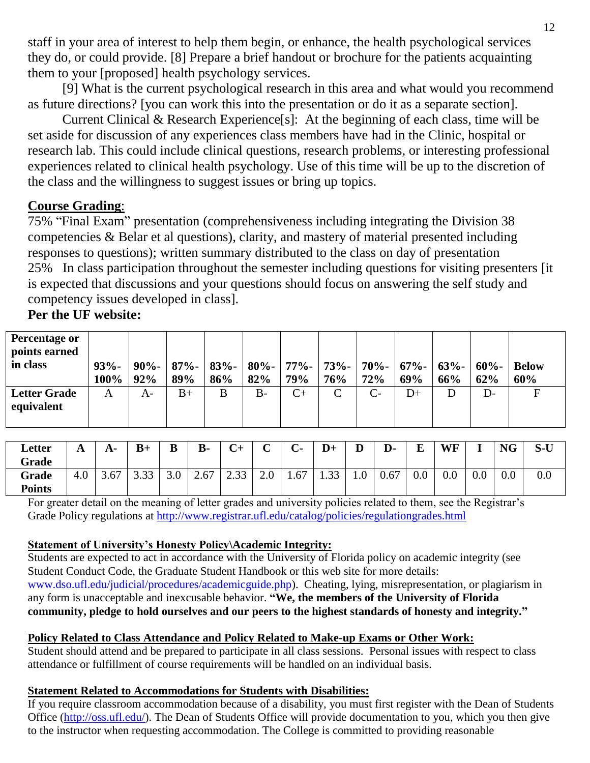staff in your area of interest to help them begin, or enhance, the health psychological services they do, or could provide. [8] Prepare a brief handout or brochure for the patients acquainting them to your [proposed] health psychology services.

[9] What is the current psychological research in this area and what would you recommend as future directions? [you can work this into the presentation or do it as a separate section].

Current Clinical & Research Experience[s]:At the beginning of each class, time will be set aside for discussion of any experiences class members have had in the Clinic, hospital or research lab. This could include clinical questions, research problems, or interesting professional experiences related to clinical health psychology. Use of this time will be up to the discretion of the class and the willingness to suggest issues or bring up topics.

## **Course Grading**:

75% "Final Exam" presentation (comprehensiveness including integrating the Division 38 competencies & Belar et al questions), clarity, and mastery of material presented including responses to questions); written summary distributed to the class on day of presentation 25% In class participation throughout the semester including questions for visiting presenters [it is expected that discussions and your questions should focus on answering the self study and competency issues developed in class].

## **Per the UF website:**

| <b>Percentage or</b><br>points earned |                 |                |                |                |                |                 |                |                |                        |     |                 |                     |
|---------------------------------------|-----------------|----------------|----------------|----------------|----------------|-----------------|----------------|----------------|------------------------|-----|-----------------|---------------------|
| in class                              | $93% -$<br>100% | $90% -$<br>92% | $87% -$<br>89% | $83% -$<br>86% | $80% -$<br>82% | $77\%$ -<br>79% | $73% -$<br>76% | $70% -$<br>72% | $67\% - 63\% -$<br>69% | 66% | $60\% -$<br>62% | <b>Below</b><br>60% |
| <b>Letter Grade</b><br>equivalent     | A               | A-             | $B+$           | B              | B-             | $C+$            | $\mathsf{C}$   | $C-$           | D+                     | D   | $D-$            | F                   |

| Letter<br>Grade        | A   |      | $B+$                  | B   | <b>B-</b> | $\mathbf{\Omega}$<br>◡+ | $\sim$ | $\sim$ | $D+$                            | D   | D-   | E   | <b>WF</b> |     | <b>NG</b> | $S-U$ |
|------------------------|-----|------|-----------------------|-----|-----------|-------------------------|--------|--------|---------------------------------|-----|------|-----|-----------|-----|-----------|-------|
| Grade<br><b>Points</b> | 4.0 | 3.67 | $\cap$ $\cap$<br>J.JJ | 3.0 | 2.67      | C 23<br>ں ب∠            | 2.0    | 1.67   | $\mathbf{2} \mathbf{2}$<br>1.99 | 1.0 | 0.67 | V.V | $0.0\,$   | 0.0 | 0.0       | 0.0   |

For greater detail on the meaning of letter grades and university policies related to them, see the Registrar's Grade Policy regulations at<http://www.registrar.ufl.edu/catalog/policies/regulationgrades.html>

### **Statement of University's Honesty Policy\Academic Integrity:**

Students are expected to act in accordance with the University of Florida policy on academic integrity (see Student Conduct Code, the Graduate Student Handbook or this web site for more details: [www.dso.ufl.edu/judicial/procedures/academicguide.php\)](http://www.dso.ufl.edu/judicial/procedures/academicguide.php). Cheating, lying, misrepresentation, or plagiarism in any form is unacceptable and inexcusable behavior. **"We, the members of the University of Florida community, pledge to hold ourselves and our peers to the highest standards of honesty and integrity."**

### **Policy Related to Class Attendance and Policy Related to Make-up Exams or Other Work:**

Student should attend and be prepared to participate in all class sessions. Personal issues with respect to class attendance or fulfillment of course requirements will be handled on an individual basis.

#### **Statement Related to Accommodations for Students with Disabilities:**

If you require classroom accommodation because of a disability, you must first register with the Dean of Students Office [\(http://oss.ufl.edu/\)](http://oss.ufl.edu/). The Dean of Students Office will provide documentation to you, which you then give to the instructor when requesting accommodation. The College is committed to providing reasonable